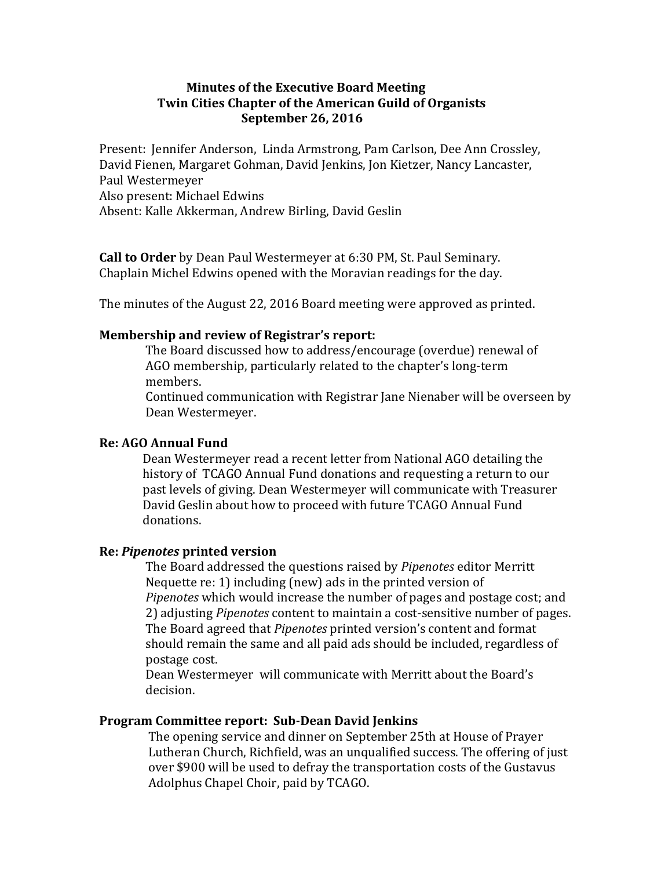# **Minutes of the Executive Board Meeting Twin Cities Chapter of the American Guild of Organists September 26, 2016**

Present: Jennifer Anderson, Linda Armstrong, Pam Carlson, Dee Ann Crossley, David Fienen, Margaret Gohman, David Jenkins, Jon Kietzer, Nancy Lancaster, Paul Westermeyer Also present: Michael Edwins Absent: Kalle Akkerman, Andrew Birling, David Geslin

**Call to Order** by Dean Paul Westermeyer at 6:30 PM, St. Paul Seminary. Chaplain Michel Edwins opened with the Moravian readings for the day.

The minutes of the August 22, 2016 Board meeting were approved as printed.

## **Membership and review of Registrar's report:**

The Board discussed how to address/encourage (overdue) renewal of AGO membership, particularly related to the chapter's long-term members. 

Continued communication with Registrar Jane Nienaber will be overseen by Dean Westermeyer.

## **Re: AGO Annual Fund**

Dean Westermeyer read a recent letter from National AGO detailing the history of TCAGO Annual Fund donations and requesting a return to our past levels of giving. Dean Westermeyer will communicate with Treasurer David Geslin about how to proceed with future TCAGO Annual Fund donations. 

#### **Re:** *Pipenotes* **printed version**

The Board addressed the questions raised by *Pipenotes* editor Merritt Nequette  $re: 1$ ) including (new) ads in the printed version of *Pipenotes* which would increase the number of pages and postage cost; and 2) adjusting *Pipenotes* content to maintain a cost-sensitive number of pages. The Board agreed that *Pipenotes* printed version's content and format should remain the same and all paid ads should be included, regardless of postage cost.

Dean Westermeyer will communicate with Merritt about the Board's decision. 

### **Program Committee report: Sub-Dean David Jenkins**

The opening service and dinner on September 25th at House of Prayer Lutheran Church, Richfield, was an unqualified success. The offering of just over \$900 will be used to defray the transportation costs of the Gustavus Adolphus Chapel Choir, paid by TCAGO.